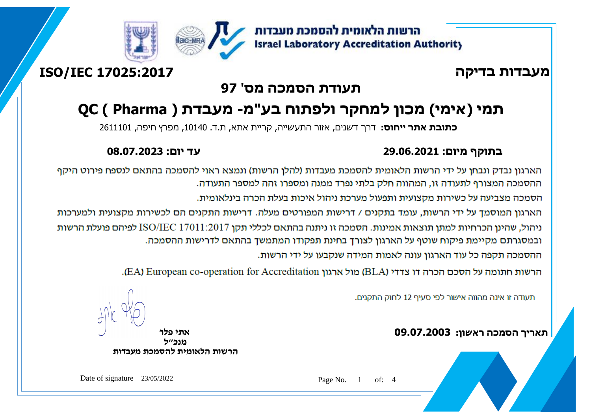

## **מעבדות בדיקה 17025:2017 IEC/ISO**

### **תעודת הסמכה מס' 97**

# **תמי )אימי( מכון למחקר ולפתוח בע"מ- מעבדת ( Pharma ) QC**

**כתובת אתר ייחוס:** דרך דשנים, אזור התעשייה, קריית אתא, ת.ד. ,10140 מפרץ חיפה, 2611101

#### **בתוקף מיום: 29.06.2021 עד יום: 08.07.2023**

הארגון נבדק ונבחן על ידי הרשות הלאומית להסמכת מעבדות (להלן הרשות) ונמצא ראוי להסמכה בהתאם לנספח פירוט היקף ההסמכה המצורף לתעודה זו. המהווה חלק בלתי נפרד ממנה ומספרו זהה למספר התעודה.

הסמכה מצביעה על כשירות מקצועית ותפעול מערכת ניהול איכות בעלת הכרה בינלאומית.

הארגון המוסמך על ידי הרשות, עומד בתקנים / דרישות המפורטים מעלה. דרישות התקנים הם לכשירות מקצועית ולמערכות

ניהול, שהינן הכרחיות למתן תוצאות אמינות. הסמכה זו ניתנה בהתאם לכללי תקן ISO/IEC 17011:2017 לפיהם פועלת הרשות ובמסגרתם מקיימת פיקוח שוטף על הארגון לצורך בחינת תפקודו המתמשך בהתאם לדרישות ההסמכה.

ההסמכה תקפה כל עוד הארגוו עונה לאמות המידה שנקבעו על ידי הרשות.

הרשות חתומה על הסכם הכרה דו צדדי (BLA) מול ארגון EA) European co-operation for Accreditation).

תעודה זו אינה מהווה אישור לפי סעיף 12 לחוק התקנים.

**תאריך הסמכה ראשון: 09.07.2003 אתי פלר**

ľ

**מנכ"ל הרשות הלאומית להסמכת מעבדות**

Date of signature 23/05/2022 Page No. 1 of: 4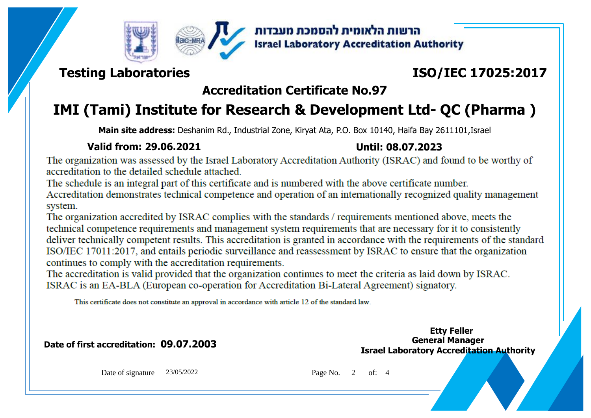



הרשות הלאומית להסמכת מעבדות **Israel Laboratory Accreditation Authority** 

### **Testing Laboratories**

## **ISO/IEC 17025:2017**

## **Accreditation Certificate No.97**

## **IMI (Tami) Institute for Research & Development Ltd- QC (Pharma )**

**Main site address:** Deshanim Rd., Industrial Zone, Kiryat Ata, P.O. Box 10140, Haifa Bay 2611101,Israel

#### **Valid from: 29.06.2021 Until: 08.07.2023**

The organization was assessed by the Israel Laboratory Accreditation Authority (ISRAC) and found to be worthy of accreditation to the detailed schedule attached.

The schedule is an integral part of this certificate and is numbered with the above certificate number.

Accreditation demonstrates technical competence and operation of an internationally recognized quality management system.

The organization accredited by ISRAC complies with the standards / requirements mentioned above, meets the technical competence requirements and management system requirements that are necessary for it to consistently deliver technically competent results. This accreditation is granted in accordance with the requirements of the standard ISO/IEC 17011:2017, and entails periodic surveillance and reassessment by ISRAC to ensure that the organization continues to comply with the accreditation requirements.

The accreditation is valid provided that the organization continues to meet the criteria as laid down by ISRAC. ISRAC is an EA-BLA (European co-operation for Accreditation Bi-Lateral Agreement) signatory.

This certificate does not constitute an approval in accordance with article 12 of the standard law.

**Date of first accreditation: 09.07.2003 General Manager** 

**Israel Laboratory Accreditation Authority Etty Feller**

Date of signature 23/05/2022 Page No. 2 of: 4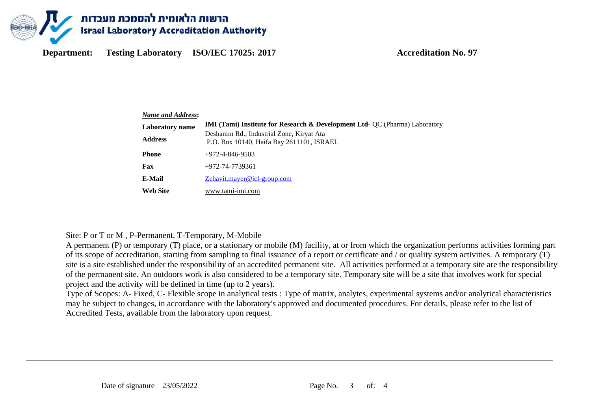

**Department: Testing Laboratory ISO/IEC 17025:** 2017 **Accreditation No. 97** 

| <b>Name and Address:</b> |                                                                                                                                                                                  |  |  |  |  |
|--------------------------|----------------------------------------------------------------------------------------------------------------------------------------------------------------------------------|--|--|--|--|
| <b>Laboratory</b> name   | <b>IMI (Tami) Institute for Research &amp; Development Ltd- QC (Pharma) Laboratory</b><br>Deshanim Rd., Industrial Zone, Kiryat Ata<br>P.O. Box 10140, Haifa Bay 2611101, ISRAEL |  |  |  |  |
| <b>Address</b>           |                                                                                                                                                                                  |  |  |  |  |
| <b>Phone</b>             | $+972 - 4 - 846 - 9503$                                                                                                                                                          |  |  |  |  |
| Fax                      | +972-74-7739361                                                                                                                                                                  |  |  |  |  |
| E-Mail                   | Zehavit.mayer@icl-group.com                                                                                                                                                      |  |  |  |  |
| <b>Web Site</b>          | www.tami-imi.com                                                                                                                                                                 |  |  |  |  |

#### Site: P or T or M , P-Permanent, T-Temporary, M-Mobile

A permanent (P) or temporary (T) place, or a stationary or mobile (M) facility, at or from which the organization performs activities forming part of its scope of accreditation, starting from sampling to final issuance of a report or certificate and / or quality system activities. A temporary (T) site is a site established under the responsibility of an accredited permanent site. All activities performed at a temporary site are the responsibility of the permanent site. An outdoors work is also considered to be a temporary site. Temporary site will be a site that involves work for special project and the activity will be defined in time (up to 2 years).

Type of Scopes: A- Fixed, C- Flexible scope in analytical tests : Type of matrix, analytes, experimental systems and/or analytical characteristics may be subject to changes, in accordance with the laboratory's approved and documented procedures. For details, please refer to the list of Accredited Tests, available from the laboratory upon request.